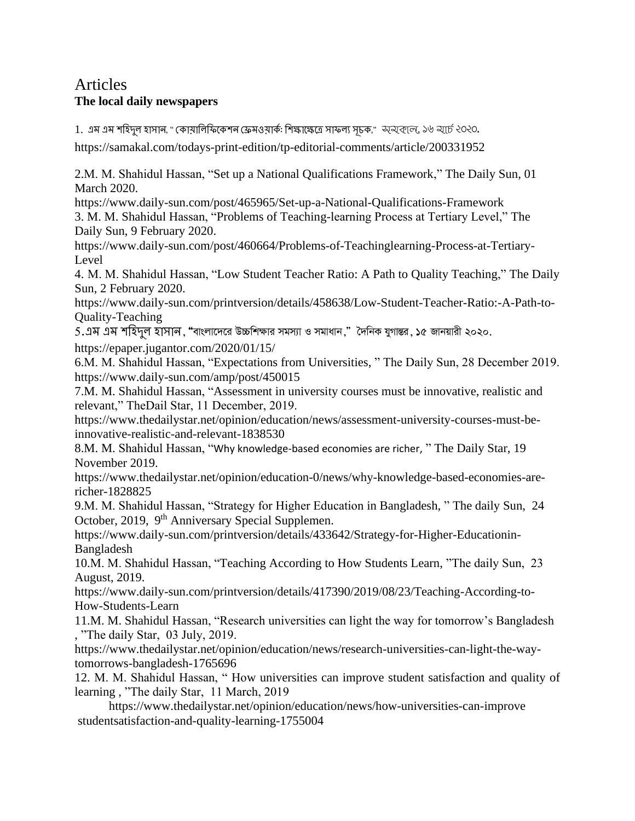## **Articles** The local daily newspapers

1. এম এম শহিদুল হাসান, " কোমালিফিকেশন ফ্রেমওয়ার্ক: শিক্ষাক্ষেত্রে সাফল্য সূচক," অ্যক্স্তেলে, ১৬ অর্চে ২০২০.

https://samakal.com/todays-print-edition/tp-editorial-comments/article/200331952

2.M. M. Shahidul Hassan, "Set up a National Qualifications Framework," The Daily Sun, 01 **March 2020.** 

https://www.daily-sun.com/post/465965/Set-up-a-National-Qualifications-Framework

3. M. M. Shahidul Hassan, "Problems of Teaching-learning Process at Tertiary Level," The Daily Sun, 9 February 2020.

https://www.daily-sun.com/post/460664/Problems-of-Teachinglearning-Process-at-Tertiary-Level

4. M. M. Shahidul Hassan, "Low Student Teacher Ratio: A Path to Quality Teaching," The Daily Sun, 2 February 2020.

https://www.daily-sun.com/printversion/details/458638/Low-Student-Teacher-Ratio:-A-Path-to-**Quality-Teaching** 

5.এম এম শহিদূল হাসান, "বাংলাদেরে উচ্চশিক্ষার সমস্যা ও সমাধান," দৈনিক যুগান্তর, ১৫ জানয়ারী ২০২০. https://epaper.jugantor.com/2020/01/15/

6.M. M. Shahidul Hassan, "Expectations from Universities," The Daily Sun, 28 December 2019. https://www.daily-sun.com/amp/post/450015

7.M. M. Shahidul Hassan, "Assessment in university courses must be innovative, realistic and relevant," The Dail Star, 11 December, 2019.

https://www.thedailystar.net/opinion/education/news/assessment-university-courses-must-beinnovative-realistic-and-relevant-1838530

8.M. M. Shahidul Hassan, "Why knowledge-based economies are richer, " The Daily Star, 19 November 2019.

https://www.thedailystar.net/opinion/education-0/news/why-knowledge-based-economies-arericher-1828825

9.M. M. Shahidul Hassan, "Strategy for Higher Education in Bangladesh, "The daily Sun, 24 October, 2019, 9<sup>th</sup> Anniversary Special Supplemen.

https://www.daily-sun.com/printversion/details/433642/Strategy-for-Higher-Educationin-Bangladesh

10.M. M. Shahidul Hassan, "Teaching According to How Students Learn, "The daily Sun, 23 August, 2019.

https://www.daily-sun.com/printversion/details/417390/2019/08/23/Teaching-According-to-How-Students-Learn

11.M. M. Shahidul Hassan, "Research universities can light the way for tomorrow's Bangladesh , "The daily Star, 03 July, 2019.

https://www.thedailystar.net/opinion/education/news/research-universities-can-light-the-waytomorrows-bangladesh-1765696

12. M. M. Shahidul Hassan, "How universities can improve student satisfaction and quality of learning, "The daily Star, 11 March, 2019

https://www.thedailystar.net/opinion/education/news/how-universities-can-improve studentsatisfaction-and-quality-learning-1755004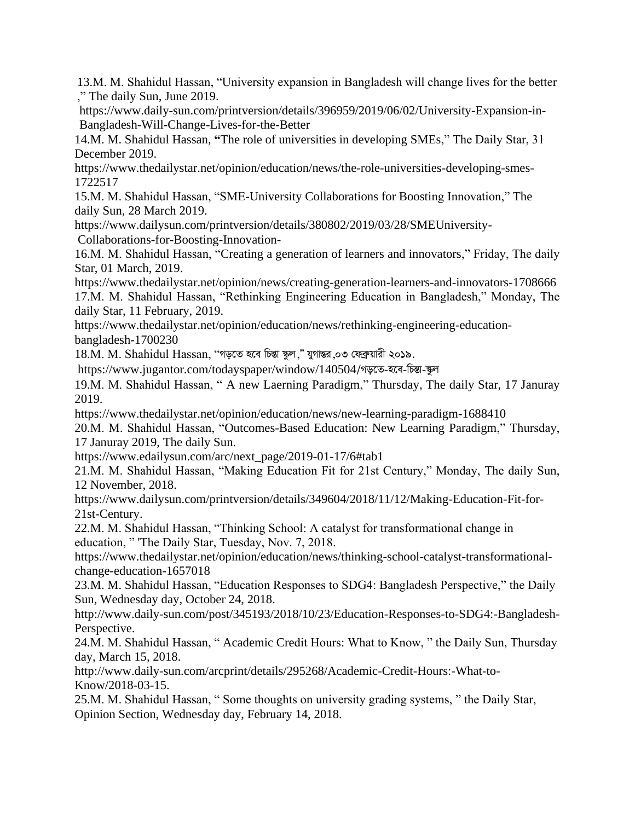13.M. M. Shahidul Hassan, "University expansion in Bangladesh will change lives for the better ," The daily Sun, June 2019.

[https://www.daily-sun.com/printversion/details/396959/2019/06/02/University-Expansion-in-](https://www.daily-sun.com/printversion/details/396959/2019/06/02/University-Expansion-in-Bangladesh-Will-Change-Lives-for-the-Better)[Bangladesh-Will-Change-Lives-for-the-Better](https://www.daily-sun.com/printversion/details/396959/2019/06/02/University-Expansion-in-Bangladesh-Will-Change-Lives-for-the-Better)

14.M. M. Shahidul Hassan, **"**The role of universities in developing SMEs," The Daily Star, 31 December 2019.

https://www.thedailystar.net/opinion/education/news/the-role-universities-developing-smes-1722517

15.M. M. Shahidul Hassan, "SME-University Collaborations for Boosting Innovation," The daily Sun, 28 March 2019.

<https://www.dailysun.com/printversion/details/380802/2019/03/28/SMEUniversity->Collaborations-for-Boosting-Innovation-

16.M. M. Shahidul Hassan, "Creating a generation of learners and innovators," Friday, The daily Star, 01 March, 2019.

<https://www.thedailystar.net/opinion/news/creating-generation-learners-and-innovators-1708666> 17.M. M. Shahidul Hassan, "Rethinking Engineering Education in Bangladesh," Monday, The daily Star, 11 February, 2019.

https://www.thedailystar.net/opinion/education/news/rethinking-engineering-educationbangladesh-1700230

 $18$ .M. M. Shahidul Hassan, ''গড়তে হবে চিন্তা স্কুল," যুগান্তর,০৩ ফেব্রুয়ারী ২০১৯.

<https://www.jugantor.com/todayspaper/window/140504>/গড়তে-হবে-চিন্তা-স্কুল

19.M. M. Shahidul Hassan, " A new Laerning Paradigm," Thursday, The daily Star, 17 Januray 2019.

<https://www.thedailystar.net/opinion/education/news/new-learning-paradigm-1688410>

20.M. M. Shahidul Hassan, "Outcomes-Based Education: New Learning Paradigm," Thursday, 17 Januray 2019, The daily Sun.

[https://www.edailysun.com/arc/next\\_page/2019-01-17/6#tab1](https://www.edailysun.com/arc/next_page/2019-01-17/6#tab1)

21.M. M. Shahidul Hassan, "Making Education Fit for 21st Century," Monday, The daily Sun, 12 November, 2018.

[https://www.dailysun.com/printversion/details/349604/2018/11/12/Making-Education-Fit-for-](https://www.dailysun.com/printversion/details/349604/2018/11/12/Making-Education-Fit-for-21st-Century)[21st-Century.](https://www.dailysun.com/printversion/details/349604/2018/11/12/Making-Education-Fit-for-21st-Century)

22.M. M. Shahidul Hassan, "Thinking School: A catalyst for transformational change in education, " 'The Daily Star, Tuesday, Nov. 7, 2018.

[https://www.thedailystar.net/opinion/education/news/thinking-school-catalyst-transformational](https://www.thedailystar.net/opinion/education/news/thinking-school-catalyst-transformational-change-education-1657018)[change-education-1657018](https://www.thedailystar.net/opinion/education/news/thinking-school-catalyst-transformational-change-education-1657018)

23.M. M. Shahidul Hassan, "Education Responses to SDG4: Bangladesh Perspective," the Daily Sun, Wednesday day, October 24, 2018.

http://www.daily-sun.com/post/345193/2018/10/23/Education-Responses-to-SDG4:-Bangladesh-Perspective.

24.M. M. Shahidul Hassan, " Academic Credit Hours: What to Know, " the Daily Sun, Thursday day, March 15, 2018.

[http://www.daily-sun.com/arcprint/details/295268/Academic-Credit-Hours:-What-to-](http://www.daily-sun.com/arcprint/details/295268/Academic-Credit-Hours:-What-to-Know/2018-03-15)[Know/2018-03-15.](http://www.daily-sun.com/arcprint/details/295268/Academic-Credit-Hours:-What-to-Know/2018-03-15)

25.M. M. Shahidul Hassan, " Some thoughts on university grading systems, " the Daily Star, Opinion Section, Wednesday day, February 14, 2018.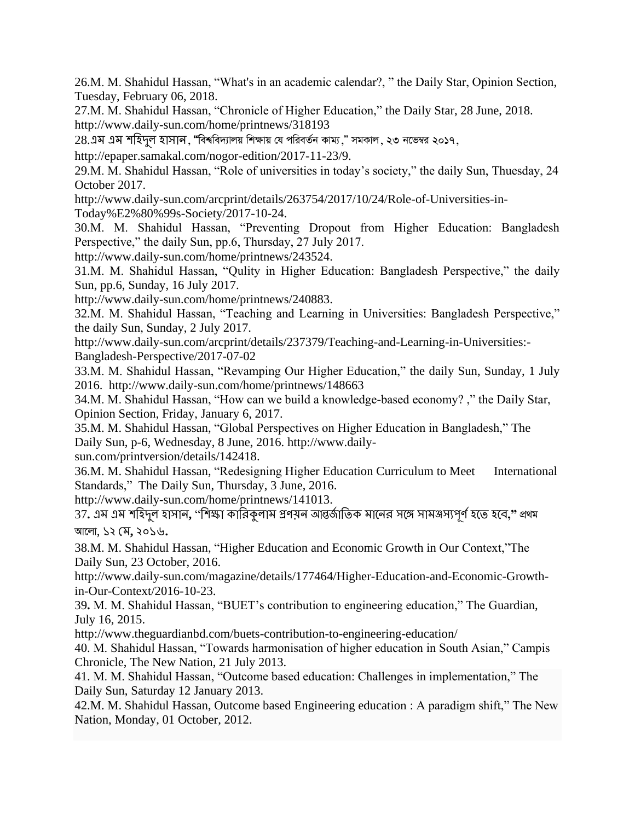26.M. M. Shahidul Hassan, "What's in an academic calendar?, " the Daily Star, Opinion Section, Tuesday, February 06, 2018.

27.M. M. Shahidul Hassan, "Chronicle of Higher Education," the Daily Star, 28 June, 2018. http://www.daily-sun.com/home/printnews/318193

28.এম এম শহিদল হাসান, "বিশ্ববিদ্যালয় শিক্ষায় যে পরিবর্তন কাম্য," সমকাল, ২৩ নভেম্বর ২০**১**৭,

http://epaper.samakal.com/nogor-edition/2017-11-23/9.

29.M. M. Shahidul Hassan, "Role of universities in today's society," the daily Sun, Thuesday, 24 October 2017.

http://www.daily-sun.com/arcprint/details/263754/2017/10/24/Role-of-Universities-in-

Today%E2%80%99s-Society/2017-10-24.

30.M. M. Shahidul Hassan, "Preventing Dropout from Higher Education: Bangladesh Perspective," the daily Sun, pp.6, Thursday, 27 July 2017.

http://www.daily-sun.com/home/printnews/243524.

31.M. M. Shahidul Hassan, "Qulity in Higher Education: Bangladesh Perspective," the daily Sun, pp.6, Sunday, 16 July 2017.

http://www.daily-sun.com/home/printnews/240883.

32.M. M. Shahidul Hassan, "Teaching and Learning in Universities: Bangladesh Perspective," the daily Sun, Sunday, 2 July 2017.

[http://www.daily-sun.com/arcprint/details/237379/Teaching-and-Learning-in-Universities:-](http://www.daily-sun.com/arcprint/details/237379/Teaching-and-Learning-in-Universities:-Bangladesh-Perspective/2017-07-02) [Bangladesh-Perspective/2017-07-02](http://www.daily-sun.com/arcprint/details/237379/Teaching-and-Learning-in-Universities:-Bangladesh-Perspective/2017-07-02)

33.M. M. Shahidul Hassan, "Revamping Our Higher Education," the daily Sun, Sunday, 1 July 2016. http://www.daily-sun.com/home/printnews/148663

34.M. M. Shahidul Hassan, "How can we build a knowledge-based economy? ," the Daily Star, Opinion Section, Friday, January 6, 2017.

35.M. M. Shahidul Hassan, "Global Perspectives on Higher Education in Bangladesh," The Daily Sun, p-6, Wednesday, 8 June, 2016. http://www.daily-

sun.com/printversion/details/142418.

36.M. M. Shahidul Hassan, "Redesigning Higher Education Curriculum to Meet International Standards," The Daily Sun, Thursday, 3 June, 2016.

[http://www.daily-sun.com/home/printnews/141013.](http://www.daily-sun.com/home/printnews/141013)

37. এম এম শহিদুল হাসান, "শিক্ষা কারিকুলাম প্রণয়ন আন্তর্জাতিক মানের সঙ্গে সামঞ্জস্যপূর্ণ হতে হবে," প্রথম Av‡jv, ১২ মম**,** ২০১৬**.**

38.M. M. Shahidul Hassan, "Higher Education and Economic Growth in Our Context,"The Daily Sun, 23 October, 2016.

[http://www.daily-sun.com/magazine/details/177464/Higher-Education-and-Economic-Growth](http://www.daily-sun.com/magazine/details/177464/Higher-Education-and-Economic-Growth-in-Our-Context/2016-10-23)[in-Our-Context/2016-10-23.](http://www.daily-sun.com/magazine/details/177464/Higher-Education-and-Economic-Growth-in-Our-Context/2016-10-23)

39**.** M. M. Shahidul Hassan, "BUET's contribution to engineering education," The Guardian, July 16, 2015.

<http://www.theguardianbd.com/buets-contribution-to-engineering-education/>

40. M. Shahidul Hassan, "Towards harmonisation of higher education in South Asian," Campis Chronicle, The New Nation, 21 July 2013.

41. M. M. Shahidul Hassan, "Outcome based education: Challenges in implementation," The Daily Sun, Saturday 12 January 2013.

42.M. M. Shahidul Hassan, Outcome based Engineering education : A paradigm shift," The New Nation, Monday, 01 October, 2012.